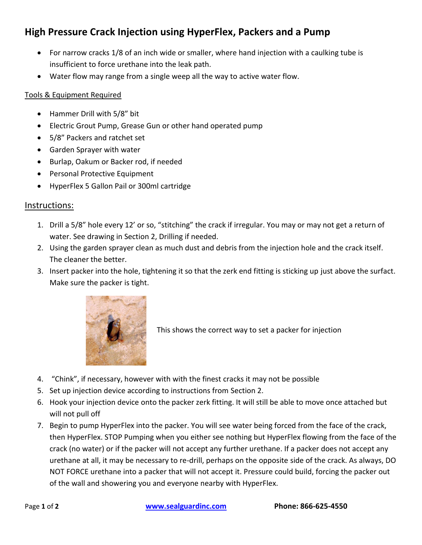## **High Pressure Crack Injection using HyperFlex, Packers and a Pump**

- For narrow cracks 1/8 of an inch wide or smaller, where hand injection with a caulking tube is insufficient to force urethane into the leak path.
- Water flow may range from a single weep all the way to active water flow.

## Tools & Equipment Required

- Hammer Drill with 5/8" bit
- Electric Grout Pump, Grease Gun or other hand operated pump
- 5/8" Packers and ratchet set
- Garden Sprayer with water
- Burlap, Oakum or Backer rod, if needed
- **•** Personal Protective Equipment
- HyperFlex 5 Gallon Pail or 300ml cartridge

## Instructions:

- 1. Drill a 5/8" hole every 12' or so, "stitching" the crack if irregular. You may or may not get a return of water. See drawing in Section 2, Drilling if needed.
- 2. Using the garden sprayer clean as much dust and debris from the injection hole and the crack itself. The cleaner the better.
- 3. Insert packer into the hole, tightening it so that the zerk end fitting is sticking up just above the surfact. Make sure the packer is tight.



This shows the correct way to set a packer for injection

- 4. "Chink", if necessary, however with with the finest cracks it may not be possible
- 5. Set up injection device according to instructions from Section 2.
- 6. Hook your injection device onto the packer zerk fitting. It will still be able to move once attached but will not pull off
- 7. Begin to pump HyperFlex into the packer. You will see water being forced from the face of the crack, then HyperFlex. STOP Pumping when you either see nothing but HyperFlex flowing from the face of the crack (no water) or if the packer will not accept any further urethane. If a packer does not accept any urethane at all, it may be necessary to re-drill, perhaps on the opposite side of the crack. As always, DO NOT FORCE urethane into a packer that will not accept it. Pressure could build, forcing the packer out of the wall and showering you and everyone nearby with HyperFlex.